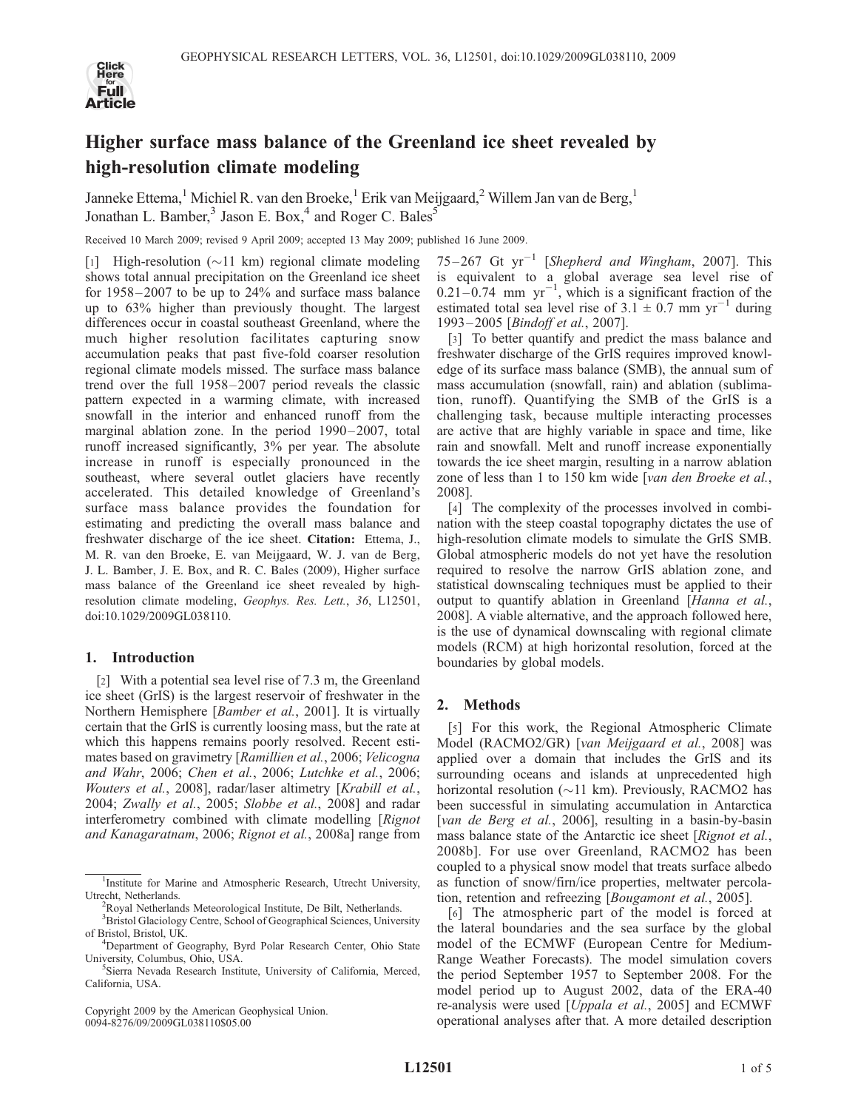

# Higher surface mass balance of the Greenland ice sheet revealed by high-resolution climate modeling

Janneke Ettema,<sup>1</sup> Michiel R. van den Broeke,<sup>1</sup> Erik van Meijgaard,<sup>2</sup> Willem Jan van de Berg,<sup>1</sup> Jonathan L. Bamber,<sup>3</sup> Jason E. Box,<sup>4</sup> and Roger C. Bales<sup>5</sup>

Received 10 March 2009; revised 9 April 2009; accepted 13 May 2009; published 16 June 2009.

[1] High-resolution  $(\sim 11 \text{ km})$  regional climate modeling shows total annual precipitation on the Greenland ice sheet for 1958– 2007 to be up to 24% and surface mass balance up to 63% higher than previously thought. The largest differences occur in coastal southeast Greenland, where the much higher resolution facilitates capturing snow accumulation peaks that past five-fold coarser resolution regional climate models missed. The surface mass balance trend over the full 1958– 2007 period reveals the classic pattern expected in a warming climate, with increased snowfall in the interior and enhanced runoff from the marginal ablation zone. In the period 1990–2007, total runoff increased significantly, 3% per year. The absolute increase in runoff is especially pronounced in the southeast, where several outlet glaciers have recently accelerated. This detailed knowledge of Greenland's surface mass balance provides the foundation for estimating and predicting the overall mass balance and freshwater discharge of the ice sheet. Citation: Ettema, J., M. R. van den Broeke, E. van Meijgaard, W. J. van de Berg, J. L. Bamber, J. E. Box, and R. C. Bales (2009), Higher surface mass balance of the Greenland ice sheet revealed by highresolution climate modeling, Geophys. Res. Lett., 36, L12501, doi:10.1029/2009GL038110.

# 1. Introduction

[2] With a potential sea level rise of 7.3 m, the Greenland ice sheet (GrIS) is the largest reservoir of freshwater in the Northern Hemisphere [Bamber et al., 2001]. It is virtually certain that the GrIS is currently loosing mass, but the rate at which this happens remains poorly resolved. Recent estimates based on gravimetry [Ramillien et al., 2006; Velicogna and Wahr, 2006; Chen et al., 2006; Lutchke et al., 2006; Wouters et al., 2008], radar/laser altimetry [Krabill et al., 2004; Zwally et al., 2005; Slobbe et al., 2008] and radar interferometry combined with climate modelling [Rignot] and Kanagaratnam, 2006; Rignot et al., 2008a] range from

Copyright 2009 by the American Geophysical Union. 0094-8276/09/2009GL038110\$05.00

 $75-267$  Gt  $yr^{-1}$  [Shepherd and Wingham, 2007]. This is equivalent to a global average sea level rise of  $0.21 - 0.74$  mm yr<sup>-1</sup>, which is a significant fraction of the estimated total sea level rise of  $3.1 \pm 0.7$  mm yr<sup>-1</sup> during 1993– 2005 [Bindoff et al., 2007].

[3] To better quantify and predict the mass balance and freshwater discharge of the GrIS requires improved knowledge of its surface mass balance (SMB), the annual sum of mass accumulation (snowfall, rain) and ablation (sublimation, runoff). Quantifying the SMB of the GrIS is a challenging task, because multiple interacting processes are active that are highly variable in space and time, like rain and snowfall. Melt and runoff increase exponentially towards the ice sheet margin, resulting in a narrow ablation zone of less than 1 to 150 km wide [van den Broeke et al., 2008].

[4] The complexity of the processes involved in combination with the steep coastal topography dictates the use of high-resolution climate models to simulate the GrIS SMB. Global atmospheric models do not yet have the resolution required to resolve the narrow GrIS ablation zone, and statistical downscaling techniques must be applied to their output to quantify ablation in Greenland [Hanna et al., 2008]. A viable alternative, and the approach followed here, is the use of dynamical downscaling with regional climate models (RCM) at high horizontal resolution, forced at the boundaries by global models.

# 2. Methods

[5] For this work, the Regional Atmospheric Climate Model (RACMO2/GR) [van Meijgaard et al., 2008] was applied over a domain that includes the GrIS and its surrounding oceans and islands at unprecedented high horizontal resolution ( $\sim$ 11 km). Previously, RACMO2 has been successful in simulating accumulation in Antarctica [van de Berg et al., 2006], resulting in a basin-by-basin mass balance state of the Antarctic ice sheet [Rignot et al., 2008b]. For use over Greenland, RACMO2 has been coupled to a physical snow model that treats surface albedo as function of snow/firn/ice properties, meltwater percolation, retention and refreezing [Bougamont et al., 2005].

[6] The atmospheric part of the model is forced at the lateral boundaries and the sea surface by the global model of the ECMWF (European Centre for Medium-Range Weather Forecasts). The model simulation covers the period September 1957 to September 2008. For the model period up to August 2002, data of the ERA-40 re-analysis were used [Uppala et al., 2005] and ECMWF operational analyses after that. A more detailed description

<sup>&</sup>lt;sup>1</sup>Institute for Marine and Atmospheric Research, Utrecht University, Utrecht, Netherlands. <sup>2</sup>

Royal Netherlands Meteorological Institute, De Bilt, Netherlands.

<sup>&</sup>lt;sup>3</sup> Bristol Glaciology Centre, School of Geographical Sciences, University of Bristol, Bristol, UK. <sup>4</sup>

<sup>&</sup>lt;sup>4</sup>Department of Geography, Byrd Polar Research Center, Ohio State University, Columbus, Ohio, USA. <sup>5</sup>

<sup>&</sup>lt;sup>5</sup>Sierra Nevada Research Institute, University of California, Merced, California, USA.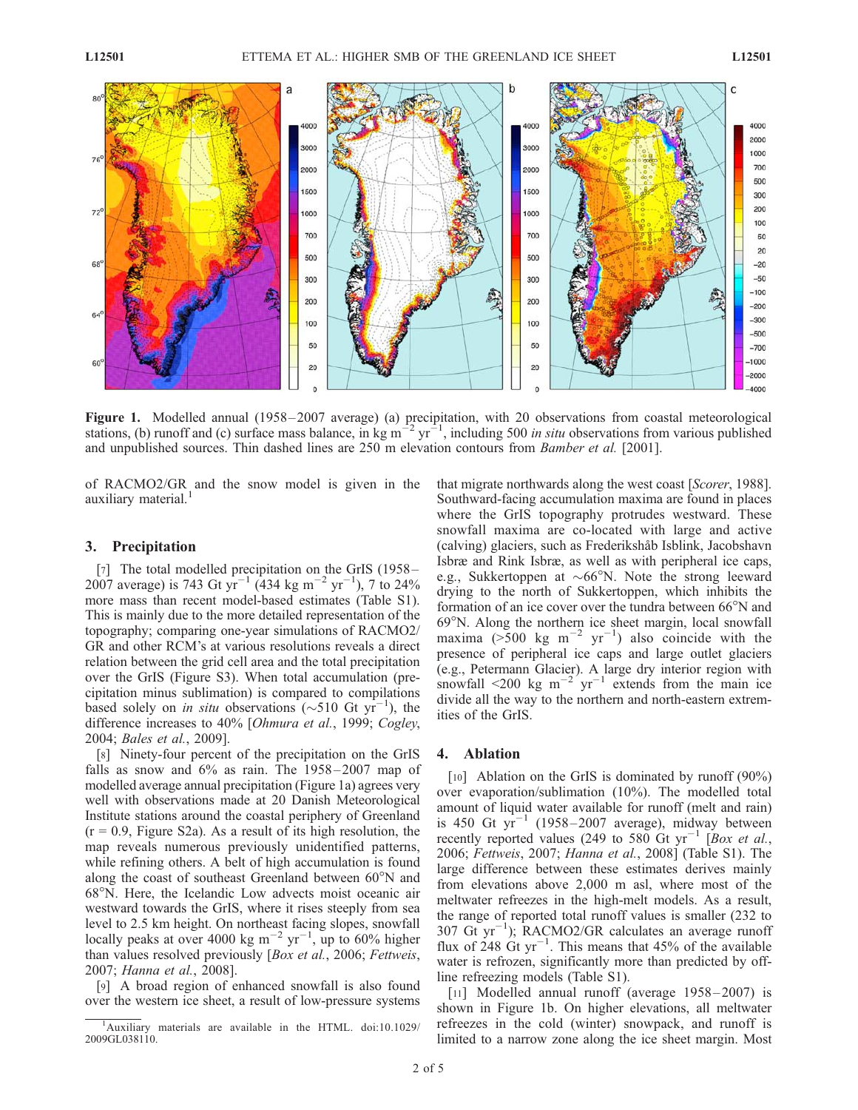

Figure 1. Modelled annual (1958–2007 average) (a) precipitation, with 20 observations from coastal meteorological stations, (b) runoff and (c) surface mass balance, in kg m<sup>-2</sup> yr<sup>-1</sup>, including 500 *in situ* observations from various published and unpublished sources. Thin dashed lines are 250 m elevation contours from Bamber et al. [2001].

of RACMO2/GR and the snow model is given in the auxiliary material.<sup>1</sup>

#### 3. Precipitation

[7] The total modelled precipitation on the GrIS (1958– 2007 average) is 743 Gt yr<sup>-1</sup> (434 kg m<sup>-2</sup> yr<sup>-1</sup>), 7 to 24% more mass than recent model-based estimates (Table S1). This is mainly due to the more detailed representation of the topography; comparing one-year simulations of RACMO2/ GR and other RCM's at various resolutions reveals a direct relation between the grid cell area and the total precipitation over the GrIS (Figure S3). When total accumulation (precipitation minus sublimation) is compared to compilations based solely on *in situ* observations ( $\sim$ 510 Gt yr<sup>-1</sup>), the difference increases to 40% [Ohmura et al., 1999; Cogley, 2004; Bales et al., 2009].

[8] Ninety-four percent of the precipitation on the GrIS falls as snow and  $6\%$  as rain. The  $1958 - 2007$  map of modelled average annual precipitation (Figure 1a) agrees very well with observations made at 20 Danish Meteorological Institute stations around the coastal periphery of Greenland  $(r = 0.9,$  Figure S2a). As a result of its high resolution, the map reveals numerous previously unidentified patterns, while refining others. A belt of high accumulation is found along the coast of southeast Greenland between 60°N and 68°N. Here, the Icelandic Low advects moist oceanic air westward towards the GrIS, where it rises steeply from sea level to 2.5 km height. On northeast facing slopes, snowfall locally peaks at over 4000 kg m<sup>-2</sup> yr<sup>-1</sup>, up to 60% higher than values resolved previously [Box et al., 2006; Fettweis, 2007; Hanna et al., 2008].

[9] A broad region of enhanced snowfall is also found over the western ice sheet, a result of low-pressure systems that migrate northwards along the west coast [Scorer, 1988]. Southward-facing accumulation maxima are found in places where the GrIS topography protrudes westward. These snowfall maxima are co-located with large and active (calving) glaciers, such as Frederikshåb Isblink, Jacobshavn Isbræ and Rink Isbræ, as well as with peripheral ice caps, e.g., Sukkertoppen at  $\sim 66^{\circ}$ N. Note the strong leeward drying to the north of Sukkertoppen, which inhibits the formation of an ice cover over the tundra between  $66^{\circ}$ N and 69N. Along the northern ice sheet margin, local snowfall maxima (>500 kg m<sup>-2</sup> yr<sup>-1</sup>) also coincide with the presence of peripheral ice caps and large outlet glaciers (e.g., Petermann Glacier). A large dry interior region with snowfall <200 kg  $m^{-2}$  yr<sup>-1</sup> extends from the main ice divide all the way to the northern and north-eastern extremities of the GrIS.

#### 4. Ablation

[10] Ablation on the GrIS is dominated by runoff  $(90\%)$ over evaporation/sublimation (10%). The modelled total amount of liquid water available for runoff (melt and rain) is 450 Gt  $yr^{-1}$  (1958–2007 average), midway between recently reported values (249 to 580 Gt  $yr^{-1}$  [Box et al., 2006; Fettweis, 2007; Hanna et al., 2008] (Table S1). The large difference between these estimates derives mainly from elevations above 2,000 m asl, where most of the meltwater refreezes in the high-melt models. As a result, the range of reported total runoff values is smaller (232 to  $307 \text{ Gt yr}^{-1}$ ); RACMO2/GR calculates an average runoff flux of  $248$  Gt yr<sup>-1</sup>. This means that 45% of the available water is refrozen, significantly more than predicted by offline refreezing models (Table S1).

[11] Modelled annual runoff (average 1958-2007) is shown in Figure 1b. On higher elevations, all meltwater refreezes in the cold (winter) snowpack, and runoff is limited to a narrow zone along the ice sheet margin. Most

<sup>&</sup>lt;sup>1</sup>Auxiliary materials are available in the HTML. doi:10.1029/ 2009GL038110.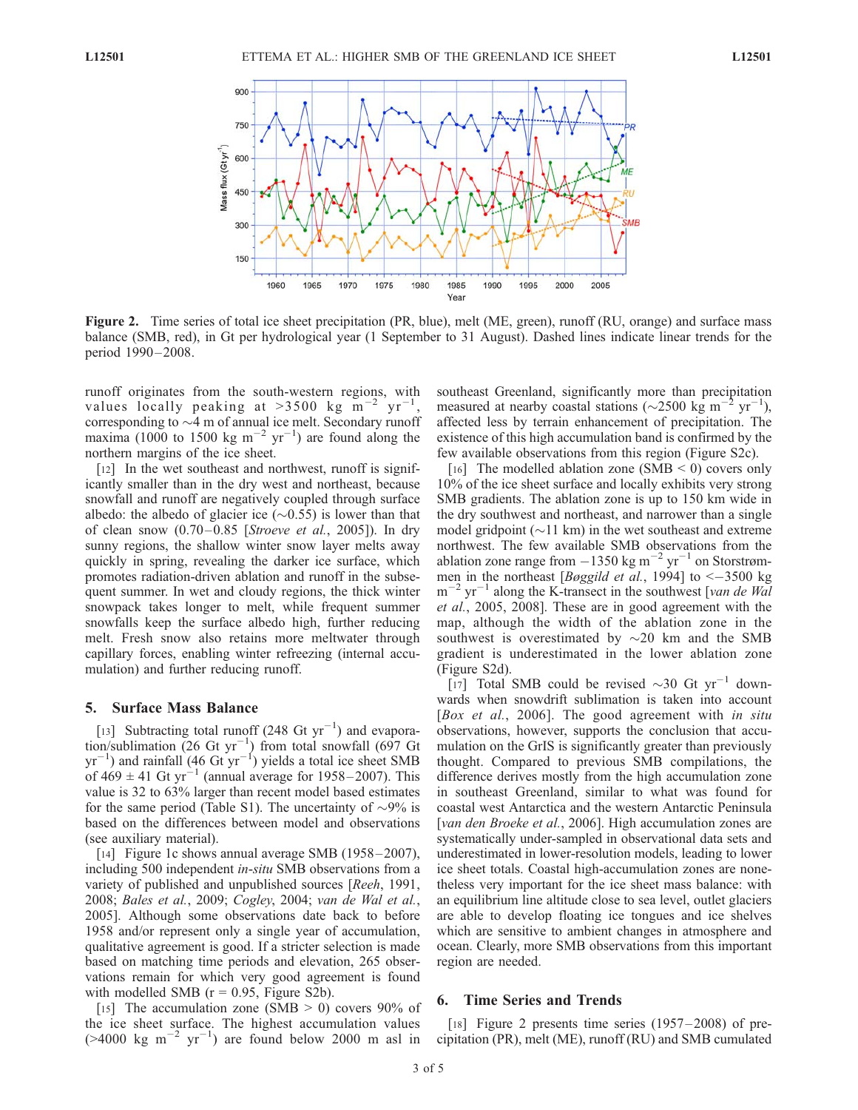

Figure 2. Time series of total ice sheet precipitation (PR, blue), melt (ME, green), runoff (RU, orange) and surface mass balance (SMB, red), in Gt per hydrological year (1 September to 31 August). Dashed lines indicate linear trends for the period 1990-2008.

runoff originates from the south-western regions, with values locally peaking at  $>3500$  kg m<sup>-2</sup> yr<sup>-1</sup> , corresponding to  $\sim$ 4 m of annual ice melt. Secondary runoff maxima (1000 to 1500 kg m<sup>-2</sup> yr<sup>-1</sup>) are found along the northern margins of the ice sheet.

[12] In the wet southeast and northwest, runoff is significantly smaller than in the dry west and northeast, because snowfall and runoff are negatively coupled through surface albedo: the albedo of glacier ice  $(\sim 0.55)$  is lower than that of clean snow  $(0.70-0.85$  [Stroeve et al., 2005]). In dry sunny regions, the shallow winter snow layer melts away quickly in spring, revealing the darker ice surface, which promotes radiation-driven ablation and runoff in the subsequent summer. In wet and cloudy regions, the thick winter snowpack takes longer to melt, while frequent summer snowfalls keep the surface albedo high, further reducing melt. Fresh snow also retains more meltwater through capillary forces, enabling winter refreezing (internal accumulation) and further reducing runoff.

## 5. Surface Mass Balance

[13] Subtracting total runoff (248 Gt  $yr^{-1}$ ) and evaporation/sublimation  $(26 \text{ Gt yr}^{-1})$  from total snowfall (697 Gt  $yr^{-1}$ ) and rainfall (46 Gt  $yr^{-1}$ ) yields a total ice sheet SMB of  $469 \pm 41$  Gt yr<sup>-1</sup> (annual average for 1958–2007). This value is 32 to 63% larger than recent model based estimates for the same period (Table S1). The uncertainty of  $\sim$ 9% is based on the differences between model and observations (see auxiliary material).

[14] Figure 1c shows annual average SMB (1958–2007), including 500 independent in-situ SMB observations from a variety of published and unpublished sources [Reeh, 1991, 2008; Bales et al., 2009; Cogley, 2004; van de Wal et al., 2005]. Although some observations date back to before 1958 and/or represent only a single year of accumulation, qualitative agreement is good. If a stricter selection is made based on matching time periods and elevation, 265 observations remain for which very good agreement is found with modelled SMB  $(r = 0.95,$  Figure S2b).

[15] The accumulation zone (SMB  $>$  0) covers 90% of the ice sheet surface. The highest accumulation values  $($ >4000 kg m<sup>-2</sup> yr<sup>-1</sup>) are found below 2000 m asl in

southeast Greenland, significantly more than precipitation measured at nearby coastal stations ( $\sim$ 2500 kg m<sup>-2</sup> yr<sup>-1</sup> 1 ), affected less by terrain enhancement of precipitation. The existence of this high accumulation band is confirmed by the few available observations from this region (Figure S2c).

[16] The modelled ablation zone (SMB  $\leq$  0) covers only 10% of the ice sheet surface and locally exhibits very strong SMB gradients. The ablation zone is up to 150 km wide in the dry southwest and northeast, and narrower than a single model gridpoint  $(\sim)11$  km) in the wet southeast and extreme northwest. The few available SMB observations from the ablation zone range from  $-1350 \text{ kg m}^{-2} \text{ yr}^{-1}$  on Storstrømmen in the northeast [*Bøggild et al.*, 1994] to  $\leq -3500$  kg  $m^{-2}$  $2 \text{ yr}^{-1}$  along the K-transect in the southwest [van de Wal et al., 2005, 2008]. These are in good agreement with the map, although the width of the ablation zone in the southwest is overestimated by  $\sim$ 20 km and the SMB gradient is underestimated in the lower ablation zone (Figure S2d).

[17] Total SMB could be revised  $\sim$ 30 Gt yr<sup>-1</sup> downwards when snowdrift sublimation is taken into account [Box et al., 2006]. The good agreement with in situ observations, however, supports the conclusion that accumulation on the GrIS is significantly greater than previously thought. Compared to previous SMB compilations, the difference derives mostly from the high accumulation zone in southeast Greenland, similar to what was found for coastal west Antarctica and the western Antarctic Peninsula [van den Broeke et al., 2006]. High accumulation zones are systematically under-sampled in observational data sets and underestimated in lower-resolution models, leading to lower ice sheet totals. Coastal high-accumulation zones are nonetheless very important for the ice sheet mass balance: with an equilibrium line altitude close to sea level, outlet glaciers are able to develop floating ice tongues and ice shelves which are sensitive to ambient changes in atmosphere and ocean. Clearly, more SMB observations from this important region are needed.

#### 6. Time Series and Trends

[18] Figure 2 presents time series (1957–2008) of precipitation (PR), melt (ME), runoff (RU) and SMB cumulated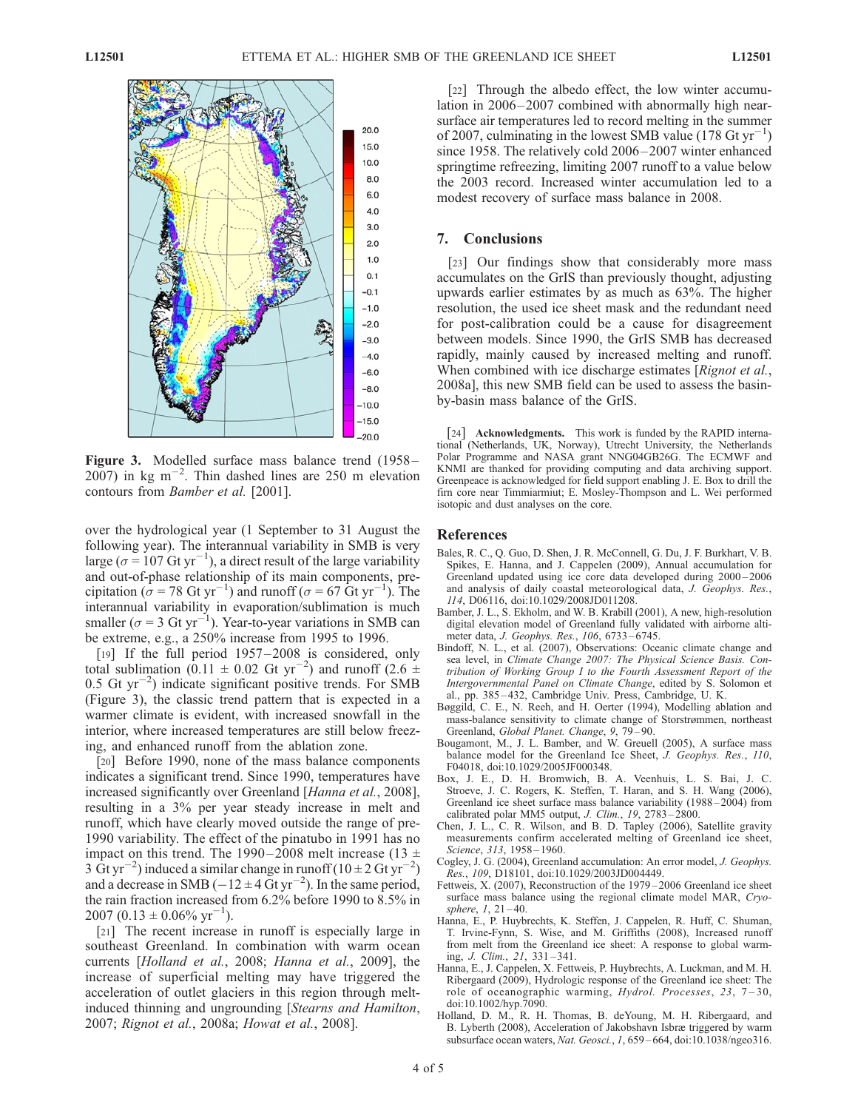

Figure 3. Modelled surface mass balance trend (1958–  $2007$ ) in kg m<sup>-2</sup>. Thin dashed lines are 250 m elevation contours from Bamber et al. [2001].

over the hydrological year (1 September to 31 August the following year). The interannual variability in SMB is very large ( $\sigma$  = 107 Gt yr<sup>-1</sup>), a direct result of the large variability and out-of-phase relationship of its main components, precipitation ( $\sigma$  = 78 Gt yr<sup>-1</sup>) and runoff ( $\sigma$  = 67 Gt yr<sup>-1</sup>). The interannual variability in evaporation/sublimation is much smaller ( $\sigma$  = 3 Gt yr<sup>-1</sup>). Year-to-year variations in SMB can be extreme, e.g., a 250% increase from 1995 to 1996.

[19] If the full period 1957–2008 is considered, only total sublimation (0.11  $\pm$  0.02 Gt yr<sup>-2</sup>) and runoff (2.6  $\pm$  $0.5$  Gt yr<sup>-2</sup>) indicate significant positive trends. For SMB (Figure 3), the classic trend pattern that is expected in a warmer climate is evident, with increased snowfall in the interior, where increased temperatures are still below freezing, and enhanced runoff from the ablation zone.

[20] Before 1990, none of the mass balance components indicates a significant trend. Since 1990, temperatures have increased significantly over Greenland [Hanna et al., 2008], resulting in a 3% per year steady increase in melt and runoff, which have clearly moved outside the range of pre-1990 variability. The effect of the pinatubo in 1991 has no impact on this trend. The 1990–2008 melt increase (13  $\pm$ 3  $\text{Gt yr}^{-2}$ ) induced a similar change in runoff (10 ± 2 Gt yr<sup>-2</sup>) and a decrease in SMB ( $-12 \pm 4$  Gt yr<sup>-2</sup>). In the same period, the rain fraction increased from 6.2% before 1990 to 8.5% in 2007 (0.13  $\pm$  0.06% yr<sup>-1</sup>).

[21] The recent increase in runoff is especially large in southeast Greenland. In combination with warm ocean currents [Holland et al., 2008; Hanna et al., 2009], the increase of superficial melting may have triggered the acceleration of outlet glaciers in this region through meltinduced thinning and ungrounding [Stearns and Hamilton, 2007; Rignot et al., 2008a; Howat et al., 2008].

[22] Through the albedo effect, the low winter accumulation in 2006–2007 combined with abnormally high nearsurface air temperatures led to record melting in the summer of 2007, culminating in the lowest SMB value  $(178 \text{ Gt yr}^{-1})$ since 1958. The relatively cold 2006–2007 winter enhanced springtime refreezing, limiting 2007 runoff to a value below the 2003 record. Increased winter accumulation led to a modest recovery of surface mass balance in 2008.

## 7. Conclusions

[23] Our findings show that considerably more mass accumulates on the GrIS than previously thought, adjusting upwards earlier estimates by as much as 63%. The higher resolution, the used ice sheet mask and the redundant need for post-calibration could be a cause for disagreement between models. Since 1990, the GrIS SMB has decreased rapidly, mainly caused by increased melting and runoff. When combined with ice discharge estimates [Rignot et al., 2008a], this new SMB field can be used to assess the basinby-basin mass balance of the GrIS.

[24] **Acknowledgments.** This work is funded by the RAPID international (Netherlands, UK, Norway), Utrecht University, the Netherlands Polar Programme and NASA grant NNG04GB26G. The ECMWF and KNMI are thanked for providing computing and data archiving support. Greenpeace is acknowledged for field support enabling J. E. Box to drill the firn core near Timmiarmiut; E. Mosley-Thompson and L. Wei performed isotopic and dust analyses on the core.

#### References

- Bales, R. C., Q. Guo, D. Shen, J. R. McConnell, G. Du, J. F. Burkhart, V. B. Spikes, E. Hanna, and J. Cappelen (2009), Annual accumulation for Greenland updated using ice core data developed during 2000 – 2006 and analysis of daily coastal meteorological data, J. Geophys. Res., 114, D06116, doi:10.1029/2008JD011208.
- Bamber, J. L., S. Ekholm, and W. B. Krabill (2001), A new, high-resolution digital elevation model of Greenland fully validated with airborne altimeter data, J. Geophys. Res., 106, 6733 – 6745.
- Bindoff, N. L., et al. (2007), Observations: Oceanic climate change and sea level, in Climate Change 2007: The Physical Science Basis. Contribution of Working Group I to the Fourth Assessment Report of the Intergovernmental Panel on Climate Change, edited by S. Solomon et al., pp. 385 – 432, Cambridge Univ. Press, Cambridge, U. K.
- Bøggild, C. E., N. Reeh, and H. Oerter (1994), Modelling ablation and mass-balance sensitivity to climate change of Storstrømmen, northeast Greenland, Global Planet. Change, 9, 79 – 90.
- Bougamont, M., J. L. Bamber, and W. Greuell (2005), A surface mass balance model for the Greenland Ice Sheet, J. Geophys. Res., 110, F04018, doi:10.1029/2005JF000348.
- Box, J. E., D. H. Bromwich, B. A. Veenhuis, L. S. Bai, J. C. Stroeve, J. C. Rogers, K. Steffen, T. Haran, and S. H. Wang (2006), Greenland ice sheet surface mass balance variability (1988 – 2004) from calibrated polar MM5 output, J. Clim., 19, 2783-2800.
- Chen, J. L., C. R. Wilson, and B. D. Tapley (2006), Satellite gravity measurements confirm accelerated melting of Greenland ice sheet, Science, 313, 1958-1960.
- Cogley, J. G. (2004), Greenland accumulation: An error model, J. Geophys. Res., 109, D18101, doi:10.1029/2003JD004449.
- Fettweis, X. (2007), Reconstruction of the 1979 2006 Greenland ice sheet surface mass balance using the regional climate model MAR, Cryosphere, 1, 21-40.
- Hanna, E., P. Huybrechts, K. Steffen, J. Cappelen, R. Huff, C. Shuman, T. Irvine-Fynn, S. Wise, and M. Griffiths (2008), Increased runoff from melt from the Greenland ice sheet: A response to global warming, J. Clim., 21, 331 – 341.
- Hanna, E., J. Cappelen, X. Fettweis, P. Huybrechts, A. Luckman, and M. H. Ribergaard (2009), Hydrologic response of the Greenland ice sheet: The role of oceanographic warming, Hydrol. Processes, 23, 7 – 30, doi:10.1002/hyp.7090.
- Holland, D. M., R. H. Thomas, B. deYoung, M. H. Ribergaard, and B. Lyberth (2008), Acceleration of Jakobshavn Isbræ triggered by warm subsurface ocean waters, Nat. Geosci., 1, 659-664, doi:10.1038/ngeo316.